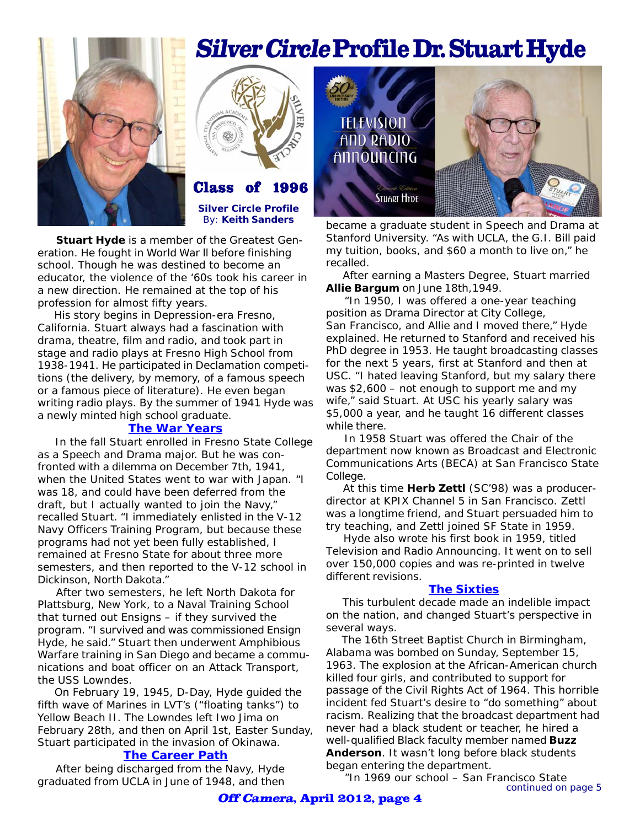



 **Stuart Hyde** is a member of the Greatest Generation. He fought in World War ll before finishing school. Though he was destined to become an educator, the violence of the '60s took his career in a new direction. He remained at the top of his profession for almost fifty years.

 His story begins in Depression-era Fresno, California. Stuart always had a fascination with drama, theatre, film and radio, and took part in stage and radio plays at Fresno High School from 1938-1941. He participated in Declamation competitions (the delivery, by memory, of a famous speech or a famous piece of literature). He even began writing radio plays. By the summer of 1941 Hyde was a newly minted high school graduate.

## **The War Years**

 In the fall Stuart enrolled in Fresno State College as a Speech and Drama major. But he was confronted with a dilemma on December 7th, 1941, when the United States went to war with Japan. "I was 18, and could have been deferred from the draft, but I actually wanted to join the Navy," recalled Stuart. "I immediately enlisted in the V-12 Navy Officers Training Program, but because these programs had not yet been fully established, I remained at Fresno State for about three more semesters, and then reported to the V-12 school in Dickinson, North Dakota."

 After two semesters, he left North Dakota for Plattsburg, New York, to a Naval Training School that turned out Ensigns – if they survived the program. "I survived and was commissioned Ensign Hyde, he said." Stuart then underwent Amphibious Warfare training in San Diego and became a communications and boat officer on an Attack Transport, the USS Lowndes.

 On February 19, 1945, D-Day, Hyde guided the fifth wave of Marines in LVT's ("floating tanks") to Yellow Beach II. The Lowndes left Iwo Jima on February 28th, and then on April 1st, Easter Sunday, Stuart participated in the invasion of Okinawa.

### **The Career Path**

 After being discharged from the Navy, Hyde graduated from UCLA in June of 1948, and then

# Silver Circle Profile Dr. Stuart Hyde



became a graduate student in Speech and Drama at Stanford University. "As with UCLA, the G.I. Bill paid my tuition, books, and \$60 a month to live on," he recalled.

 After earning a Masters Degree, Stuart married **Allie Bargum** on June 18th,1949.

 "In 1950, I was offered a one-year teaching position as Drama Director at City College, San Francisco, and Allie and I moved there," Hyde explained. He returned to Stanford and received his PhD degree in 1953. He taught broadcasting classes for the next 5 years, first at Stanford and then at USC. "I hated leaving Stanford, but my salary there was \$2,600 – not enough to support me and my wife," said Stuart. At USC his yearly salary was \$5,000 a year, and he taught 16 different classes while there.

**00** Communications Arts (BECA) at San Francisco State In 1958 Stuart was offered the Chair of the department now known as Broadcast and Electronic College.

 At this time **Herb Zettl** *(SC'98)* was a producerdirector at KPIX Channel 5 in San Francisco. Zettl was a longtime friend, and Stuart persuaded him to try teaching, and Zettl joined SF State in 1959.

 Hyde also wrote his first book in 1959, titled *Television and Radio Announcing*. It went on to sell over 150,000 copies and was re-printed in twelve different revisions.

#### **The Sixties**

 This turbulent decade made an indelible impact on the nation, and changed Stuart's perspective in several ways.

 The 16th Street Baptist Church in Birmingham, Alabama was bombed on Sunday, September 15, 1963. The explosion at the African-American church killed four girls, and contributed to support for passage of the Civil Rights Act of 1964. This horrible incident fed Stuart's desire to "do something" about racism. Realizing that the broadcast department had never had a black student or teacher, he hired a well-qualified Black faculty member named **Buzz Anderson**. It wasn't long before black students began entering the department.

*continued on page 5* "In 1969 our school – San Francisco State